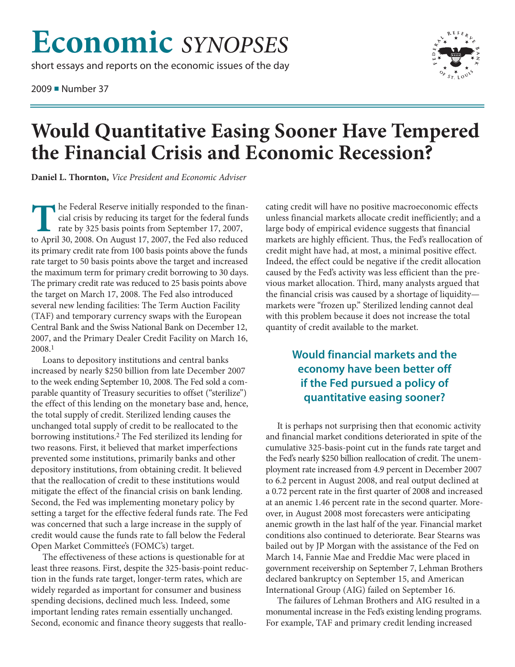## **Economic** *SYNOPSES*

short essays and reports on the economic issues of the day

2009 ■ Number 37



## **Would Quantitative Easing Sooner Have Tempered the Financial Crisis and Economic Recession?**

**Daniel L. Thornton,** *Vice President and Economic Adviser*

The Federal Reserve initially responded to the financial crisis by reducing its target for the federal funds rate by 325 basis points from September 17, 2007, to April 30, 2008. On August 17, 2007, the Fed also reduced cial crisis by reducing its target for the federal funds rate by 325 basis points from September 17, 2007, to April 30, 2008. On August 17, 2007, the Fed also reduced its primary credit rate from 100 basis points above the funds rate target to 50 basis points above the target and increased the maximum term for primary credit borrowing to 30 days. The primary credit rate was reduced to 25 basis points above the target on March 17, 2008. The Fed also introduced several new lending facilities: The Term Auction Facility (TAF) and temporary currency swaps with the European Central Bank and the Swiss National Bank on December 12, 2007, and the Primary Dealer Credit Facility on March 16, 2008. 1

Loans to depository institutions and central banks increased by nearly \$250 billion from late December 2007 to the week ending September 10, 2008. The Fed sold a comparable quantity of Treasury securities to offset ("sterilize") the effect of this lending on the monetary base and, hence, the total supply of credit. Sterilized lending causes the unchanged total supply of credit to be reallocated to the borrowing institutions. 2 The Fed sterilized its lending for two reasons. First, it believed that market imperfections prevented some institutions, primarily banks and other depository institutions, from obtaining credit. It believed that the reallocation of credit to these institutions would mitigate the effect of the financial crisis on bank lending. Second, the Fed was implementing monetary policy by setting a target for the effective federal funds rate. The Fed was concerned that such a large increase in the supply of credit would cause the funds rate to fall below the Federal Open Market Committee's (FOMC's) target.

The effectiveness of these actions is questionable for at least three reasons. First, despite the 325-basis-point reduction in the funds rate target, longer-term rates, which are widely regarded as important for consumer and business spending decisions, declined much less. Indeed, some important lending rates remain essentially unchanged. Second, economic and finance theory suggests that reallocating credit will have no positive macroeconomic effects unless financial markets allocate credit inefficiently; and a large body of empirical evidence suggests that financial markets are highly efficient. Thus, the Fed's reallocation of credit might have had, at most, a minimal positive effect. Indeed, the effect could be negative if the credit allocation caused by the Fed's activity was less efficient than the previous market allocation. Third, many analysts argued that the financial crisis was caused by a shortage of liquidity markets were "frozen up." Sterilized lending cannot deal with this problem because it does not increase the total quantity of credit available to the market.

## **Would financial markets and the economy have been better off if the Fed pursued a policy of quantitative easing sooner?**

It is perhaps not surprising then that economic activity and financial market conditions deteriorated in spite of the cumulative 325-basis-point cut in the funds rate target and the Fed's nearly \$250 billion reallocation of credit. The unemployment rate increased from 4.9 percent in December 2007 to 6.2 percent in August 2008, and real output declined at a 0.72 percent rate in the first quarter of 2008 and increased at an anemic 1.46 percent rate in the second quarter. Moreover, in August 2008 most forecasters were anticipating anemic growth in the last half of the year. Financial market conditions also continued to deteriorate. Bear Stearns was bailed out by JP Morgan with the assistance of the Fed on March 14, Fannie Mae and Freddie Mac were placed in government receivership on September 7, Lehman Brothers declared bankruptcy on September 15, and American International Group (AIG) failed on September 16.

The failures of Lehman Brothers and AIG resulted in a monumental increase in the Fed's existing lending programs. For example, TAF and primary credit lending increased